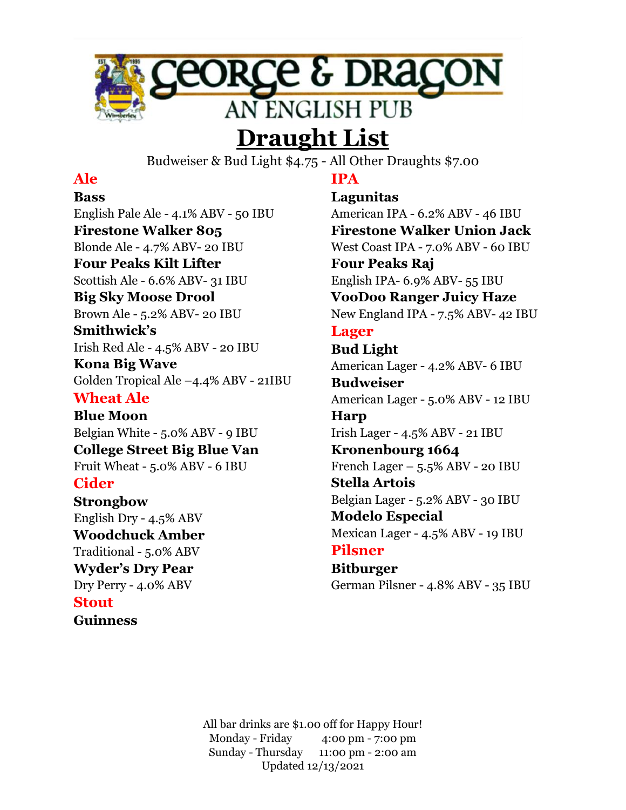

## **Draught List**

Budweiser & Bud Light \$4.75 - All Other Draughts \$7.00

## **Ale**

**Bass** English Pale Ale - 4.1% ABV - 50 IBU **Firestone Walker 805**  Blonde Ale - 4.7% ABV- 20 IBU **Four Peaks Kilt Lifter**  Scottish Ale - 6.6% ABV- 31 IBU **Big Sky Moose Drool** Brown Ale - 5.2% ABV- 20 IBU **Smithwick's**  Irish Red Ale - 4.5% ABV - 20 IBU **Kona Big Wave** Golden Tropical Ale –4.4% ABV - 21IBU **Wheat Ale Blue Moon** Belgian White - 5.0% ABV - 9 IBU **College Street Big Blue Van** Fruit Wheat - 5.0% ABV - 6 IBU **Cider Strongbow** English Dry - 4.5% ABV **Woodchuck Amber** Traditional - 5.0% ABV **Wyder's Dry Pear** Dry Perry - 4.0% ABV **Stout Guinness**

### **IPA**

**Lagunitas** American IPA - 6.2% ABV - 46 IBU **Firestone Walker Union Jack** West Coast IPA - 7.0% ABV - 60 IBU **Four Peaks Raj** English IPA- 6.9% ABV- 55 IBU **VooDoo Ranger Juicy Haze** New England IPA - 7.5% ABV- 42 IBU **Lager Bud Light** American Lager - 4.2% ABV- 6 IBU **Budweiser** American Lager - 5.0% ABV - 12 IBU **Harp** Irish Lager - 4.5% ABV - 21 IBU **Kronenbourg 1664** French Lager  $-5.5\%$  ABV - 20 IBU **Stella Artois** Belgian Lager - 5.2% ABV - 30 IBU **Modelo Especial** Mexican Lager - 4.5% ABV - 19 IBU **Pilsner Bitburger** German Pilsner - 4.8% ABV - 35 IBU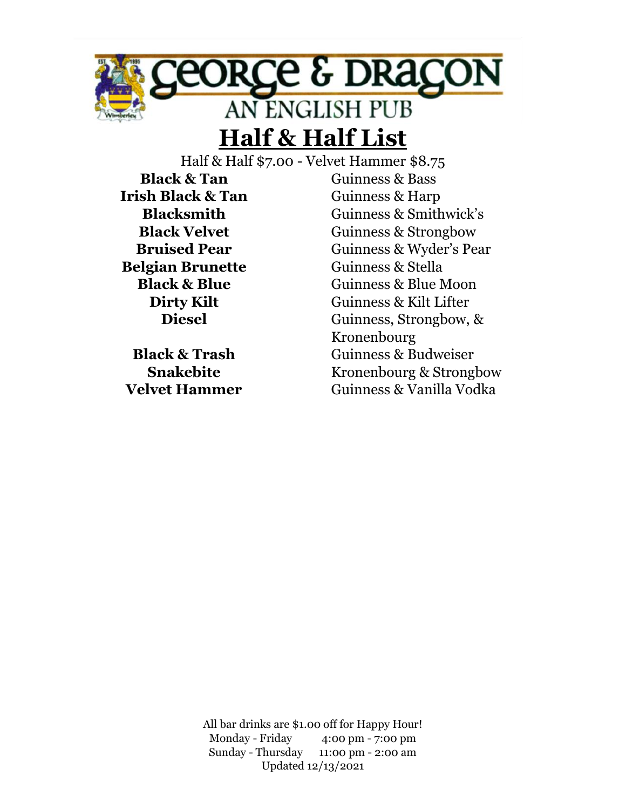

## **Half & Half List**

Half & Half \$7.00 - Velvet Hammer \$8.75

**Black & Tan Irish Black & Tan Blacksmith Black Velvet Bruised Pear Belgian Brunette Black & Blue Dirty Kilt Diesel**

**Black & Trash Snakebite Velvet Hammer**

Guinness & Bass Guinness & Harp Guinness & Smithwick's Guinness & Strongbow Guinness & Wyder's Pear Guinness & Stella Guinness & Blue Moon Guinness & Kilt Lifter Guinness, Strongbow, & Kronenbourg Guinness & Budweiser Kronenbourg & Strongbow Guinness & Vanilla Vodka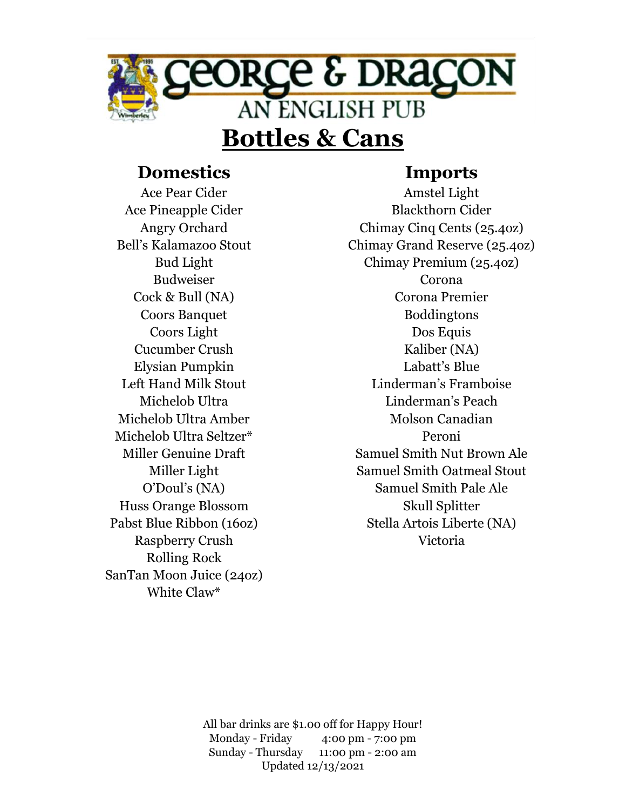

## **Domestics**

Ace Pear Cider Ace Pineapple Cider Angry Orchard Bell's Kalamazoo Stout Bud Light Budweiser Cock & Bull (NA) Coors Banquet Coors Light Cucumber Crush Elysian Pumpkin Left Hand Milk Stout Michelob Ultra Michelob Ultra Amber Michelob Ultra Seltzer\* Miller Genuine Draft Miller Light O'Doul's (NA) Huss Orange Blossom Pabst Blue Ribbon (16oz) Raspberry Crush Rolling Rock SanTan Moon Juice (24oz) White Claw\*

## **Imports**

Amstel Light Blackthorn Cider Chimay Cinq Cents (25.4oz) Chimay Grand Reserve (25.4oz) Chimay Premium (25.4oz) Corona Corona Premier Boddingtons Dos Equis Kaliber (NA) Labatt's Blue Linderman's Framboise Linderman's Peach Molson Canadian Peroni Samuel Smith Nut Brown Ale Samuel Smith Oatmeal Stout Samuel Smith Pale Ale Skull Splitter Stella Artois Liberte (NA) Victoria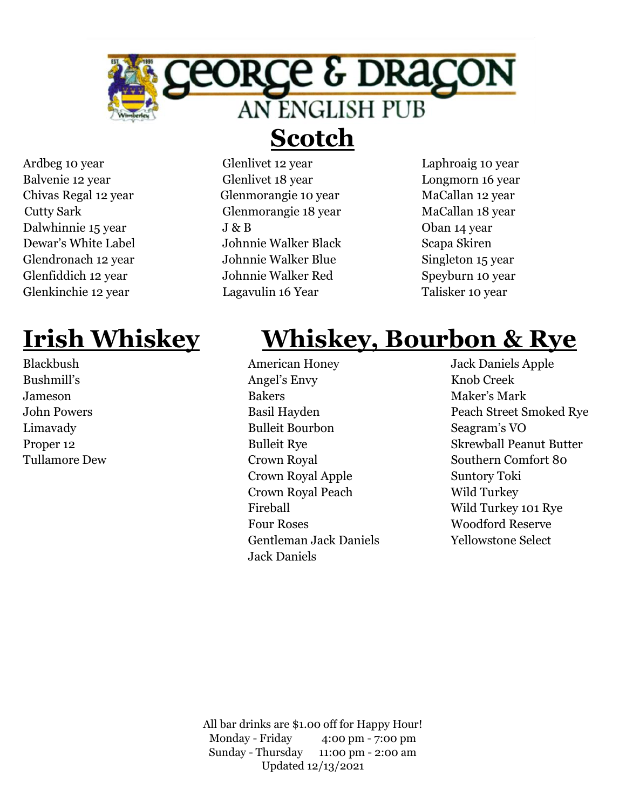

Ardbeg 10 year Balvenie 12 year Chivas Regal 12 year Cutty Sark Dalwhinnie 15 year Dewar's White Label Glendronach 12 year Glenfiddich 12 year Glenkinchie 12 year

Blackbush Bushmill's Jameson John Powers Limavady Proper 12 Tullamore Dew

- Glenlivet 12 year Glenlivet 18 year Glenmorangie 10 year Glenmorangie 18 year  $J & R$ Johnnie Walker Black Johnnie Walker Blue Johnnie Walker Red Lagavulin 16 Year
- Laphroaig 10 year Longmorn 16 year MaCallan 12 year MaCallan 18 year Oban 14 year Scapa Skiren Singleton 15 year Speyburn 10 year Talisker 10 year

# **Irish Whiskey Whiskey, Bourbon & Rye**

- American Honey Angel's Envy Bakers Basil Hayden Bulleit Bourbon Bulleit Rye Crown Royal Crown Royal Apple Crown Royal Peach Fireball Four Roses Gentleman Jack Daniels Jack Daniels
- Jack Daniels Apple Knob Creek Maker's Mark Peach Street Smoked Rye Seagram's VO Skrewball Peanut Butter Southern Comfort 80 Suntory Toki Wild Turkey Wild Turkey 101 Rye Woodford Reserve Yellowstone Select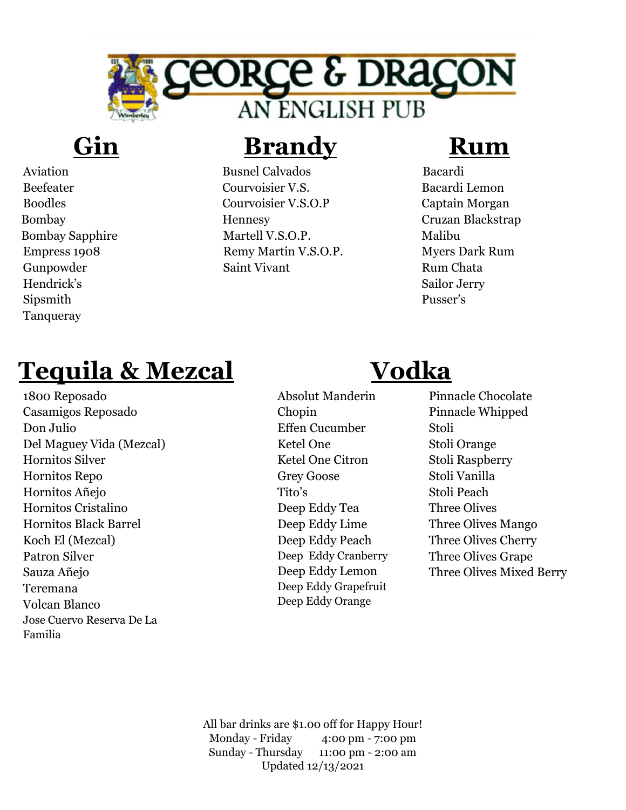

Aviation Beefeater Boodles Bombay Bombay Sapphire Empress 1908 Gunpowder Hendrick's Sipsmith Tanqueray

# **Gin Brandy Rum**

Busnel Calvados Courvoisier V.S. Courvoisier V.S.O.P Hennesy Martell V.S.O.P. Remy Martin V.S.O.P. Saint Vivant

 Bacardi Bacardi Lemon Captain Morgan Cruzan Blackstrap Malibu Myers Dark Rum Rum Chata Sailor Jerry Pusser's

# **Tequila & Mezcal Cooka**

1800 Reposado Casamigos Reposado Don Julio Del Maguey Vida (Mezcal) Hornitos Silver Hornitos Repo Hornitos Añejo Hornitos Cristalino Hornitos Black Barrel Koch El (Mezcal) Patron Silver Sauza Añejo Teremana Volcan Blanco Jose Cuervo Reserva De La Familia

- Absolut Manderin Chopin Effen Cucumber Ketel One Ketel One Citron Grey Goose Tito's Deep Eddy Tea Deep Eddy Lime Deep Eddy Peach Deep Eddy Cranberry Deep Eddy Lemon Deep Eddy Grapefruit Deep Eddy Orange
- Pinnacle Chocolate Pinnacle Whipped Stoli Stoli Orange Stoli Raspberry Stoli Vanilla Stoli Peach Three Olives Three Olives Mango Three Olives Cherry Three Olives Grape Three Olives Mixed Berry